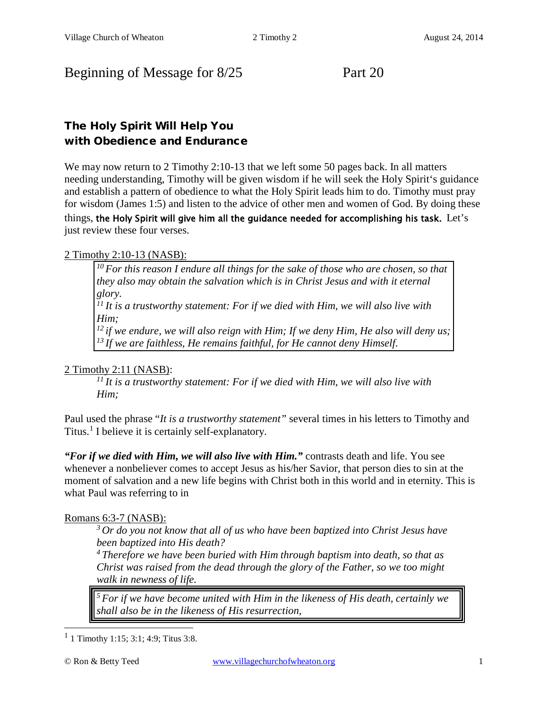# Beginning of Message for 8/25 Part 20

# The Holy Spirit Will Help You with Obedience and Endurance

We may now return to 2 Timothy 2:10-13 that we left some 50 pages back. In all matters needing understanding, Timothy will be given wisdom if he will seek the Holy Spirit's guidance and establish a pattern of obedience to what the Holy Spirit leads him to do. Timothy must pray for wisdom [\(James 1:5\)](http://www.crossbooks.com/verse.asp?ref=Jas+1%3A5) and listen to the advice of other men and women of God. By doing these things, the Holy Spirit will give him all the guidance needed for accomplishing his task. Let's just review these four verses.

## 2 Timothy 2:10-13 (NASB):

*10 For this reason I endure all things for the sake of those who are chosen, so that they also may obtain the salvation which is in Christ Jesus and with it eternal glory.* 

*11 It is a trustworthy statement: For if we died with Him, we will also live with Him;* 

*12 if we endure, we will also reign with Him; If we deny Him, He also will deny us; 13 If we are faithless, He remains faithful, for He cannot deny Himself.* 

## 2 Timothy 2:11 (NASB):

*11 It is a trustworthy statement: For if we died with Him, we will also live with Him;* 

Paul used the phrase "*It is a trustworthy statement"* several times in his letters to Timothy and Titus.<sup>[1](#page-0-0)</sup> I believe it is certainly self-explanatory.

*"For if we died with Him, we will also live with Him."* contrasts death and life. You see whenever a nonbeliever comes to accept Jesus as his/her Savior, that person dies to sin at the moment of salvation and a new life begins with Christ both in this world and in eternity. This is what Paul was referring to in

## Romans 6:3-7 (NASB):

*3 Or do you not know that all of us who have been baptized into Christ Jesus have been baptized into His death?* 

*4 Therefore we have been buried with Him through baptism into death, so that as Christ was raised from the dead through the glory of the Father, so we too might walk in newness of life.*

*5 For if we have become united with Him in the likeness of His death, certainly we shall also be in the likeness of His resurrection,* 

<span id="page-0-0"></span> $1$  1 [Timothy 1:15;](http://www.crossbooks.com/verse.asp?ref=1Ti+1%3A15) [3:1;](http://www.crossbooks.com/verse.asp?ref=1Ti+3%3A1) [4:9;](http://www.crossbooks.com/verse.asp?ref=1Ti+4%3A9) [Titus 3:8.](http://www.crossbooks.com/verse.asp?ref=Tit+3%3A8)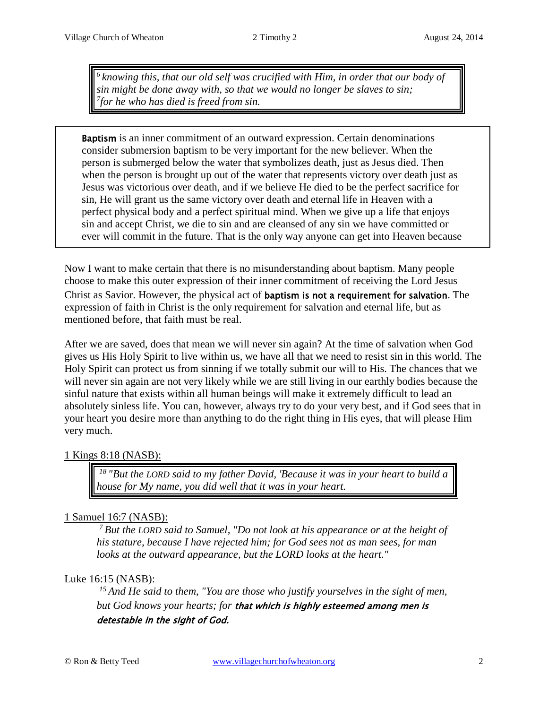*6 knowing this, that our old self was crucified with Him, in order that our body of sin might be done away with, so that we would no longer be slaves to sin; 7for he who has died is freed from sin.*

Baptism is an inner commitment of an outward expression. Certain denominations consider submersion baptism to be very important for the new believer. When the person is submerged below the water that symbolizes death, just as Jesus died. Then when the person is brought up out of the water that represents victory over death just as Jesus was victorious over death, and if we believe He died to be the perfect sacrifice for sin, He will grant us the same victory over death and eternal life in Heaven with a perfect physical body and a perfect spiritual mind. When we give up a life that enjoys sin and accept Christ, we die to sin and are cleansed of any sin we have committed or ever will commit in the future. That is the only way anyone can get into Heaven because

Now I want to make certain that there is no misunderstanding about baptism. Many people choose to make this outer expression of their inner commitment of receiving the Lord Jesus Christ as Savior. However, the physical act of baptism is not a requirement for salvation. The expression of faith in Christ is the only requirement for salvation and eternal life, but as mentioned before, that faith must be real.

After we are saved, does that mean we will never sin again? At the time of salvation when God gives us His Holy Spirit to live within us, we have all that we need to resist sin in this world. The Holy Spirit can protect us from sinning if we totally submit our will to His. The chances that we will never sin again are not very likely while we are still living in our earthly bodies because the sinful nature that exists within all human beings will make it extremely difficult to lead an absolutely sinless life. You can, however, always try to do your very best, and if God sees that in your heart you desire more than anything to do the right thing in His eyes, that will please Him very much.

#### 1 Kings 8:18 (NASB):

j

*18 "But the LORD said to my father David, 'Because it was in your heart to build a house for My name, you did well that it was in your heart.* 

## 1 Samuel 16:7 (NASB):

*7 But the LORD said to Samuel, "Do not look at his appearance or at the height of his stature, because I have rejected him; for God sees not as man sees, for man looks at the outward appearance, but the LORD looks at the heart."* 

## Luke 16:15 (NASB):

*15 And He said to them, "You are those who justify yourselves in the sight of men, but God knows your hearts; for* that which is highly esteemed among men is detestable in the sight of God.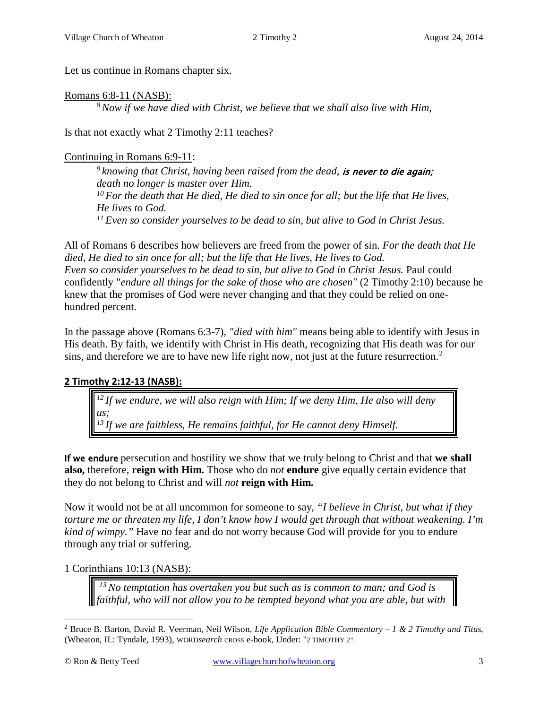Let us continue in Romans chapter six.

#### Romans 6:8-11 (NASB):

*8 Now if we have died with Christ, we believe that we shall also live with Him,*

Is that not exactly what 2 Timothy 2:11 teaches?

### Continuing in Romans 6:9-11:

*9 knowing that Christ, having been raised from the dead,* is never to die again; *death no longer is master over Him. 10 For the death that He died, He died to sin once for all; but the life that He lives, He lives to God. 11 Even so consider yourselves to be dead to sin, but alive to God in Christ Jesus.* 

All of Romans 6 describes how believers are freed from the power of sin. *For the death that He died, He died to sin once for all; but the life that He lives, He lives to God. Even so consider yourselves to be dead to sin, but alive to God in Christ Jesus. Paul could* confidently *"endure all things for the sake of those who are chosen"* (2 Timothy [2:10\)](http://www.crossbooks.com/verse.asp?ref=2Ti+2%3A10) because he knew that the promises of God were never changing and that they could be relied on onehundred percent.

In the passage above (Romans 6:3-7), *"died with him"* means being able to identify with Jesus in His death. By faith, we identify with Christ in His death, recognizing that His death was for our sins, and therefore we are to have new life right now, not just at the future resurrection.<sup>[2](#page-2-0)</sup>

## **2 Timothy 2:12-13 (NASB):**

<sup>12</sup> If we endure, we will also reign with Him; If we deny Him, He also will deny *us; 13 If we are faithless, He remains faithful, for He cannot deny Himself.* 

If we endure persecution and hostility we show that we truly belong to Christ and that **we shall also,** therefore, **reign with Him.** Those who do *not* **endure** give equally certain evidence that they do not belong to Christ and will *not* **reign with Him.**

Now it would not be at all uncommon for someone to say, *"I believe in Christ, but what if they torture me or threaten my life, I don't know how I would get through that without weakening. I'm kind of wimpy."* Have no fear and do not worry because God will provide for you to endure through any trial or suffering.

## 1 Corinthians 10:13 (NASB):

*13 No temptation has overtaken you but such as is common to man; and God is faithful, who will not allow you to be tempted beyond what you are able, but with* 

<span id="page-2-0"></span><sup>2</sup> Bruce B. Barton, David R. Veerman, Neil Wilson, *Life Application Bible Commentary – 1 & 2 Timothy and Titus*, (Wheaton, IL: Tyndale, 1993), WORD*search* CROSS e-book, Under: "2 TIMOTHY 2".  $\overline{a}$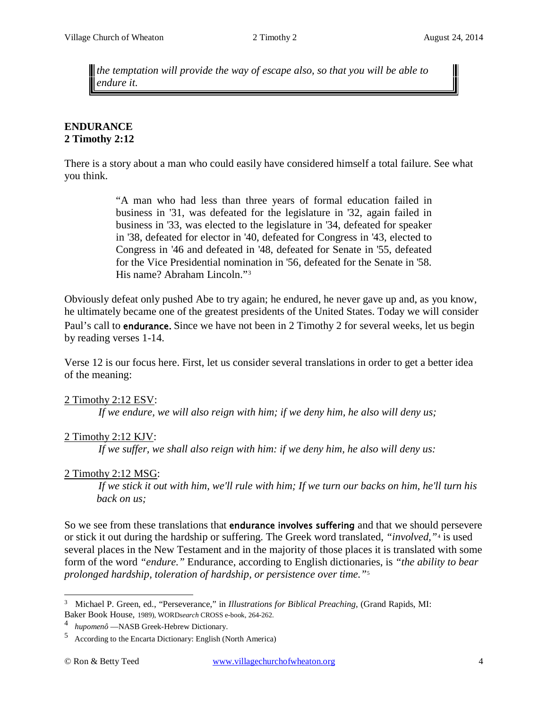*the temptation will provide the way of escape also, so that you will be able to endure it.*

#### **ENDURANCE 2 Timothy 2:12**

There is a story about a man who could easily have considered himself a total failure. See what you think.

> "A man who had less than three years of formal education failed in business in '31, was defeated for the legislature in '32, again failed in business in '33, was elected to the legislature in '34, defeated for speaker in '38, defeated for elector in '40, defeated for Congress in '43, elected to Congress in '46 and defeated in '48, defeated for Senate in '55, defeated for the Vice Presidential nomination in '56, defeated for the Senate in '58. His name? Abraham Lincoln."[3](#page-3-0)

Obviously defeat only pushed Abe to try again; he endured, he never gave up and, as you know, he ultimately became one of the greatest presidents of the United States. Today we will consider Paul's call to **endurance.** Since we have not been in 2 Timothy 2 for several weeks, let us begin by reading verses 1-14.

Verse 12 is our focus here. First, let us consider several translations in order to get a better idea of the meaning:

#### 2 Timothy 2:12 ESV:

*If we endure, we will also reign with him; if we deny him, he also will deny us;* 

#### 2 Timothy 2:12 KJV:

*If we suffer, we shall also reign with him: if we deny him, he also will deny us:* 

#### 2 Timothy 2:12 MSG:

*If we stick it out with him, we'll rule with him; If we turn our backs on him, he'll turn his back on us;* 

So we see from these translations that **endurance involves suffering** and that we should persevere or stick it out during the hardship or suffering. The Greek word translated, *"involved,"*[4](#page-3-1) is used several places in the New Testament and in the majority of those places it is translated with some form of the word *"endure."* Endurance, according to English dictionaries, is *"the ability to bear prolonged hardship, toleration of hardship, or persistence over time."*[5](#page-3-2)

<span id="page-3-0"></span><sup>3</sup> Michael P. Green, ed., "Perseverance," in *Illustrations for Biblical Preaching*, (Grand Rapids, MI: Baker Book House, 1989), WORD*search* CROSS e-book, 264-262.

<span id="page-3-1"></span><sup>4</sup> *hupomenô* —NASB Greek-Hebrew Dictionary.

<span id="page-3-2"></span><sup>5</sup> According to the Encarta Dictionary: English (North America)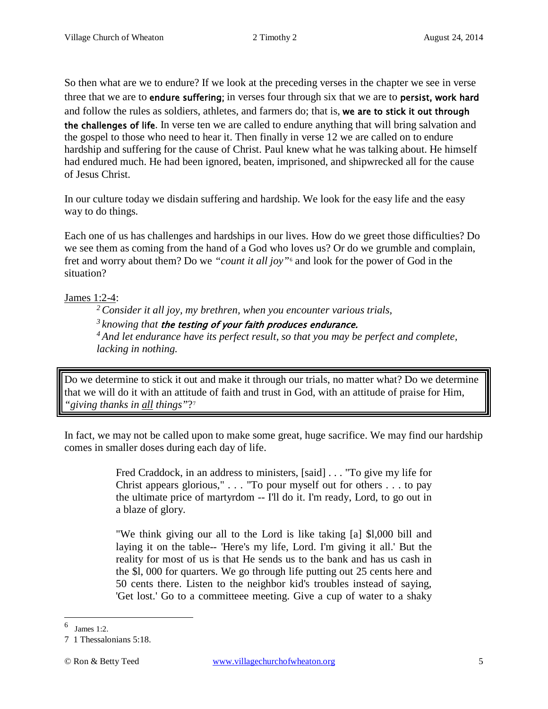So then what are we to endure? If we look at the preceding verses in the chapter we see in verse three that we are to endure suffering; in verses four through six that we are to persist, work hard and follow the rules as soldiers, athletes, and farmers do; that is, we are to stick it out through the challenges of life. In verse ten we are called to endure anything that will bring salvation and the gospel to those who need to hear it. Then finally in verse 12 we are called on to endure hardship and suffering for the cause of Christ. Paul knew what he was talking about. He himself had endured much. He had been ignored, beaten, imprisoned, and shipwrecked all for the cause of Jesus Christ.

In our culture today we disdain suffering and hardship. We look for the easy life and the easy way to do things.

Each one of us has challenges and hardships in our lives. How do we greet those difficulties? Do we see them as coming from the hand of a God who loves us? Or do we grumble and complain, fret and worry about them? Do we *"count it all joy"*[6](#page-4-0) and look for the power of God in the situation?

James 1:2-4:

*2 Consider it all joy, my brethren, when you encounter various trials,* 

*3 knowing that* the testing of your faith produces endurance.

*4 And let endurance have its perfect result, so that you may be perfect and complete, lacking in nothing.* 

Do we determine to stick it out and make it through our trials, no matter what? Do we determine that we will do it with an attitude of faith and trust in God, with an attitude of praise for Him, *"giving thanks in all things"*?[7](#page-4-1)

In fact, we may not be called upon to make some great, huge sacrifice. We may find our hardship comes in smaller doses during each day of life.

> Fred Craddock, in an address to ministers, [said] . . . "To give my life for Christ appears glorious," . . . "To pour myself out for others . . . to pay the ultimate price of martyrdom -- I'll do it. I'm ready, Lord, to go out in a blaze of glory.

> "We think giving our all to the Lord is like taking [a] \$l,000 bill and laying it on the table-- 'Here's my life, Lord. I'm giving it all.' But the reality for most of us is that He sends us to the bank and has us cash in the \$l, 000 for quarters. We go through life putting out 25 cents here and 50 cents there. Listen to the neighbor kid's troubles instead of saying, 'Get lost.' Go to a committeee meeting. Give a cup of water to a shaky

<span id="page-4-0"></span><sup>6</sup> James 1:2.

<span id="page-4-1"></span><sup>7 1</sup> Thessalonians 5:18.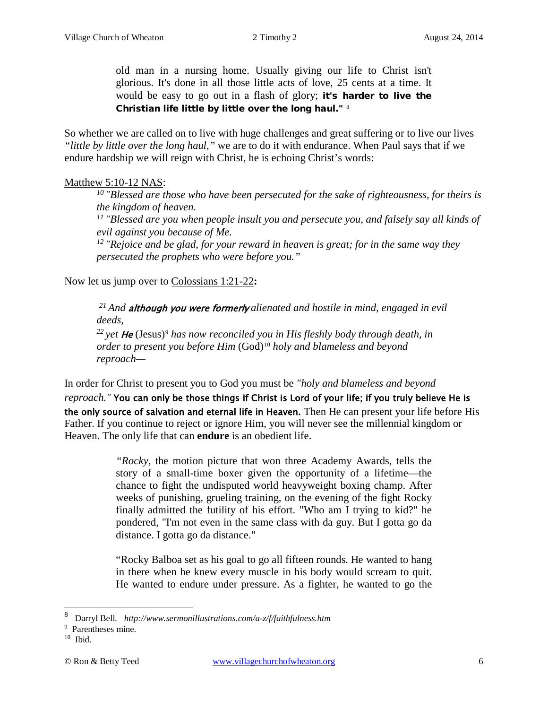old man in a nursing home. Usually giving our life to Christ isn't glorious. It's done in all those little acts of love, 25 cents at a time. It would be easy to go out in a flash of glory; it's harder to live the Christian life little by little over the long haul." [8](#page-5-0)

So whether we are called on to live with huge challenges and great suffering or to live our lives *"little by little over the long haul,"* we are to do it with endurance. When Paul says that if we endure hardship we will reign with Christ, he is echoing Christ's words:

### Matthew 5:10-12 NAS:

*10 "Blessed are those who have been persecuted for the sake of righteousness, for theirs is the kingdom of heaven.* 

*11 "Blessed are you when people insult you and persecute you, and falsely say all kinds of evil against you because of Me.* 

*12 "Rejoice and be glad, for your reward in heaven is great; for in the same way they persecuted the prophets who were before you."* 

Now let us jump over to Colossians 1:21-22**:**

*21 And* although you were formerly *alienated and hostile in mind, engaged in evil deeds,*

<sup>22</sup> yet **He** (Jesus)<sup>[9](#page-5-1)</sup> has now reconciled you in His fleshly body through death, in *order to present you before Him* (God)[10](#page-5-2) *holy and blameless and beyond reproach—*

In order for Christ to present you to God you must be *"holy and blameless and beyond* 

*reproach."* You can only be those things if Christ is Lord of your life; if you truly believe He is the only source of salvation and eternal life in Heaven. Then He can present your life before His Father. If you continue to reject or ignore Him, you will never see the millennial kingdom or Heaven. The only life that can **endure** is an obedient life.

> *"Rocky,* the motion picture that won three Academy Awards, tells the story of a small-time boxer given the opportunity of a lifetime—the chance to fight the undisputed world heavyweight boxing champ. After weeks of punishing, grueling training, on the evening of the fight Rocky finally admitted the futility of his effort. "Who am I trying to kid?" he pondered, "I'm not even in the same class with da guy. But I gotta go da distance. I gotta go da distance."

> "Rocky Balboa set as his goal to go all fifteen rounds. He wanted to hang in there when he knew every muscle in his body would scream to quit. He wanted to endure under pressure. As a fighter, he wanted to go the

<span id="page-5-0"></span><sup>8</sup> Darryl Bell. *<http://www.sermonillustrations.com/a-z/f/faithfulness.htm>*

<span id="page-5-1"></span><sup>9</sup> Parentheses mine.

<span id="page-5-2"></span> $10$  Ibid.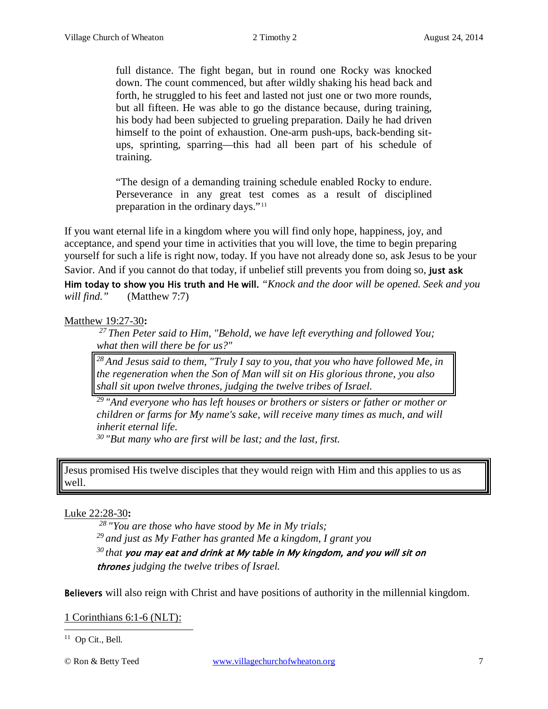full distance. The fight began, but in round one Rocky was knocked down. The count commenced, but after wildly shaking his head back and forth, he struggled to his feet and lasted not just one or two more rounds, but all fifteen. He was able to go the distance because, during training, his body had been subjected to grueling preparation. Daily he had driven himself to the point of exhaustion. One-arm push-ups, back-bending situps, sprinting, sparring—this had all been part of his schedule of training.

"The design of a demanding training schedule enabled Rocky to endure. Perseverance in any great test comes as a result of disciplined preparation in the ordinary days."<sup>[11](#page-6-0)</sup>

If you want eternal life in a kingdom where you will find only hope, happiness, joy, and acceptance, and spend your time in activities that you will love, the time to begin preparing yourself for such a life is right now, today. If you have not already done so, ask Jesus to be your Savior. And if you cannot do that today, if unbelief still prevents you from doing so, just ask Him today to show you His truth and He will. *"Knock and the door will be opened. Seek and you will find."* (Matthew 7:7)

Matthew 19:27-30**:**

*27 Then Peter said to Him, "Behold, we have left everything and followed You; what then will there be for us?"* 

*28 And Jesus said to them, "Truly I say to you, that you who have followed Me, in the regeneration when the Son of Man will sit on His glorious throne, you also shall sit upon twelve thrones, judging the twelve tribes of Israel.* 

*29 "And everyone who has left houses or brothers or sisters or father or mother or children or farms for My name's sake, will receive many times as much, and will inherit eternal life.* 

*30 "But many who are first will be last; and the last, first.* 

Jesus promised His twelve disciples that they would reign with Him and this applies to us as well.

#### Luke 22:28-30**:**

*28 "You are those who have stood by Me in My trials; 29 and just as My Father has granted Me a kingdom, I grant you 30 that* you may eat and drink at My table in My kingdom, and you will sit on thrones *judging the twelve tribes of Israel.* 

Believers will also reign with Christ and have positions of authority in the millennial kingdom.

1 Corinthians 6:1-6 (NLT):

<span id="page-6-0"></span><sup>11</sup> Op Cit., Bell.  $\overline{a}$